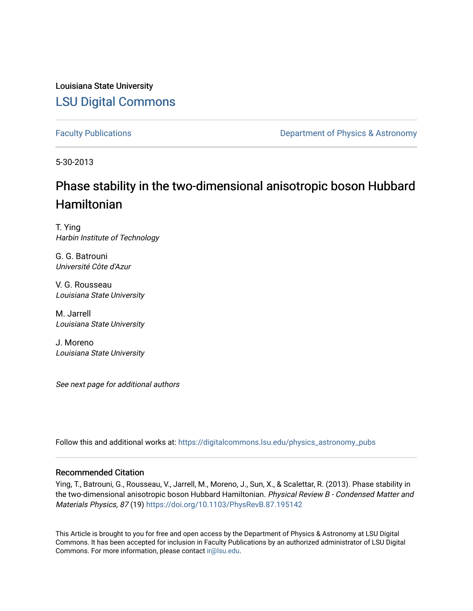Louisiana State University [LSU Digital Commons](https://digitalcommons.lsu.edu/)

[Faculty Publications](https://digitalcommons.lsu.edu/physics_astronomy_pubs) **Exercise 2 and Table 2 and Table 2 and Table 2 and Table 2 and Table 2 and Table 2 and Table 2 and Table 2 and Table 2 and Table 2 and Table 2 and Table 2 and Table 2 and Table 2 and Table 2 and Table** 

5-30-2013

## Phase stability in the two-dimensional anisotropic boson Hubbard Hamiltonian

T. Ying Harbin Institute of Technology

G. G. Batrouni Université Côte d'Azur

V. G. Rousseau Louisiana State University

M. Jarrell Louisiana State University

J. Moreno Louisiana State University

See next page for additional authors

Follow this and additional works at: [https://digitalcommons.lsu.edu/physics\\_astronomy\\_pubs](https://digitalcommons.lsu.edu/physics_astronomy_pubs?utm_source=digitalcommons.lsu.edu%2Fphysics_astronomy_pubs%2F3598&utm_medium=PDF&utm_campaign=PDFCoverPages) 

### Recommended Citation

Ying, T., Batrouni, G., Rousseau, V., Jarrell, M., Moreno, J., Sun, X., & Scalettar, R. (2013). Phase stability in the two-dimensional anisotropic boson Hubbard Hamiltonian. Physical Review B - Condensed Matter and Materials Physics, 87 (19)<https://doi.org/10.1103/PhysRevB.87.195142>

This Article is brought to you for free and open access by the Department of Physics & Astronomy at LSU Digital Commons. It has been accepted for inclusion in Faculty Publications by an authorized administrator of LSU Digital Commons. For more information, please contact [ir@lsu.edu](mailto:ir@lsu.edu).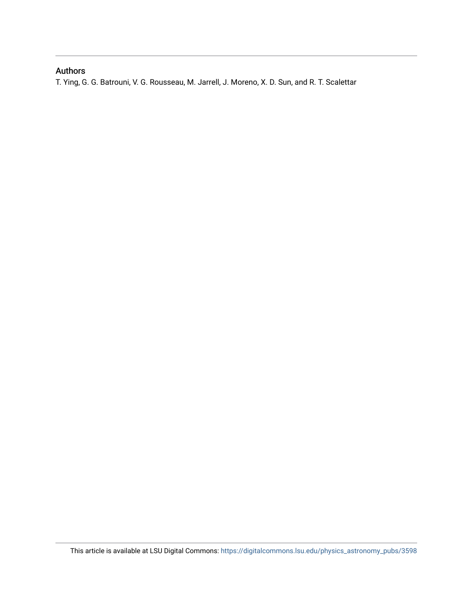## Authors

T. Ying, G. G. Batrouni, V. G. Rousseau, M. Jarrell, J. Moreno, X. D. Sun, and R. T. Scalettar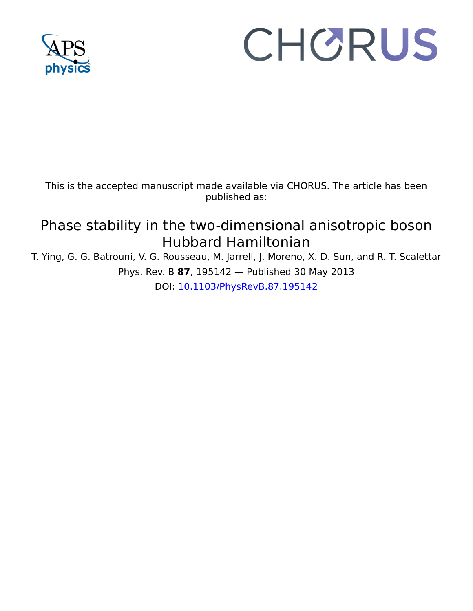

# CHORUS

This is the accepted manuscript made available via CHORUS. The article has been published as:

# Phase stability in the two-dimensional anisotropic boson Hubbard Hamiltonian

T. Ying, G. G. Batrouni, V. G. Rousseau, M. Jarrell, J. Moreno, X. D. Sun, and R. T. Scalettar Phys. Rev. B **87**, 195142 — Published 30 May 2013

DOI: [10.1103/PhysRevB.87.195142](http://dx.doi.org/10.1103/PhysRevB.87.195142)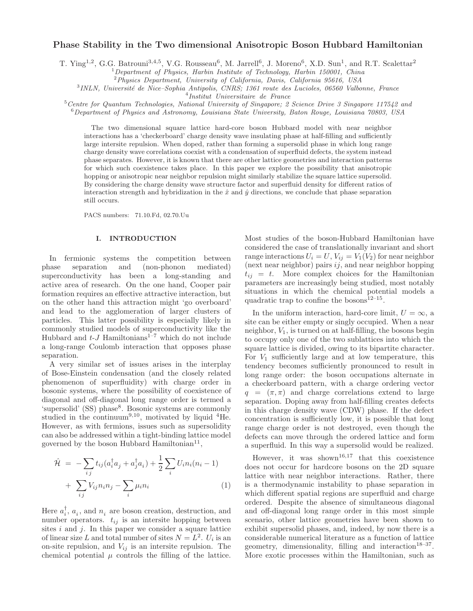#### Phase Stability in the Two dimensional Anisotropic Boson Hubbard Hamiltonian

T. Ying<sup>1,2</sup>, G.G. Batrouni<sup>3,4,5</sup>, V.G. Rousseau<sup>6</sup>, M. Jarrell<sup>6</sup>, J. Moreno<sup>6</sup>, X.D. Sun<sup>1</sup>, and R.T. Scalettar<sup>2</sup>

 $1$ Department of Physics, Harbin Institute of Technology, Harbin 150001, China

<sup>2</sup> Physics Department, University of California, Davis, California 95616, USA

<sup>3</sup>INLN, Université de Nice–Sophia Antipolis, CNRS; 1361 route des Lucioles, 06560 Valbonne, France

4 Institut Universitaire de France

 $5$ Centre for Quantum Technologies, National University of Singapore; 2 Science Drive 3 Singapore 117542 and <sup>6</sup>Department of Physics and Astronomy, Louisiana State University, Baton Rouge, Louisiana 70803, USA

The two dimensional square lattice hard-core boson Hubbard model with near neighbor interactions has a 'checkerboard' charge density wave insulating phase at half-filling and sufficiently large intersite repulsion. When doped, rather than forming a supersolid phase in which long range charge density wave correlations coexist with a condensation of superfluid defects, the system instead phase separates. However, it is known that there are other lattice geometries and interaction patterns for which such coexistence takes place. In this paper we explore the possibility that anisotropic hopping or anisotropic near neighbor repulsion might similarly stabilize the square lattice supersolid. By considering the charge density wave structure factor and superfluid density for different ratios of interaction strength and hybridization in the  $\hat{x}$  and  $\hat{y}$  directions, we conclude that phase separation still occurs.

PACS numbers: 71.10.Fd, 02.70.Uu

#### I. INTRODUCTION

in the charge density wave structure factor and superfluid dention strength and hybridization in the  $\hat{x}$  and  $\hat{y}$  directions, we concluded<br>numbers: 71.10.Fd, 02.70.Uu<br>**INTRODUCTION** Most studies of the considered th In fermionic systems the competition between phase separation and (non-phonon mediated) superconductivity has been a long-standing and active area of research. On the one hand, Cooper pair formation requires an effective attractive interaction, but on the other hand this attraction might 'go overboard' and lead to the agglomeration of larger clusters of particles. This latter possibility is especially likely in commonly studied models of superconductivity like the Hubbard and  $t$ -J Hamiltonians<sup>1-7</sup> which do not include a long-range Coulomb interaction that opposes phase separation.

A very similar set of issues arises in the interplay of Bose-Einstein condensation (and the closely related phenomenon of superfluidity) with charge order in bosonic systems, where the possibility of coexistence of diagonal and off-diagonal long range order is termed a 'supersolid' (SS) phase<sup>8</sup>. Bosonic systems are commonly studied in the continuum<sup>9,10</sup>, motivated by liquid  ${}^{4}$ He. However, as with fermions, issues such as supersolidity can also be addressed within a tight-binding lattice model governed by the boson Hubbard Hamiltonian<sup>11</sup>,

$$
\hat{\mathcal{H}} = -\sum_{ij} t_{ij} (a_i^\dagger a_j + a_j^\dagger a_i) + \frac{1}{2} \sum_i U_i n_i (n_i - 1) + \sum_{ij} V_{ij} n_i n_j - \sum_i \mu_i n_i
$$
\n(1)

Here  $a_i^{\dagger}$ ,  $a_i$ , and  $n_i$  are boson creation, destruction, and number operators.  $t_{ij}$  is an intersite hopping between sites  $i$  and  $j$ . In this paper we consider a square lattice of linear size L and total number of sites  $N = L^2$ .  $U_i$  is an on-site repulsion, and  $V_{ij}$  is an intersite repulsion. The chemical potential  $\mu$  controls the filling of the lattice.

Most studies of the boson-Hubbard Hamiltonian have considered the case of translationally invariant and short range interactions  $U_i = U, V_{ij} = V_1(V_2)$  for near neighbor (next near neighbor) pairs  $ij$ , and near neighbor hopping  $t_{ij} = t$ . More complex choices for the Hamiltonian parameters are increasingly being studied, most notably situations in which the chemical potential models a quadratic trap to confine the bosons<sup>12-15</sup>.

phase expensions. However, it is bound that there are other hattier geometrics and interaction patterns be phasis and the solen in the space of the solen of the solen of the solen of the solen of the solen of the solen of In the uniform interaction, hard-core limit,  $U = \infty$ , a site can be either empty or singly occupied. When a near neighbor,  $V_1$ , is turned on at half-filling, the bosons begin to occupy only one of the two sublattices into which the square lattice is divided, owing to its bipartite character. For  $V_1$  sufficiently large and at low temperature, this tendency becomes sufficiently pronounced to result in long range order: the boson occupations alternate in a checkerboard pattern, with a charge ordering vector  $q = (\pi, \pi)$  and charge correlations extend to large separation. Doping away from half-filling creates defects in this charge density wave (CDW) phase. If the defect concentration is sufficiently low, it is possible that long range charge order is not destroyed, even though the defects can move through the ordered lattice and form a superfluid. In this way a supersolid would be realized.

However, it was shown<sup>16,17</sup> that this coexistence does not occur for hardcore bosons on the 2D square lattice with near neighbor interactions. Rather, there is a thermodynamic instability to phase separation in which different spatial regions are superfluid and charge ordered. Despite the absence of simultaneous diagonal and off-diagonal long range order in this most simple scenario, other lattice geometries have been shown to exhibit supersolid phases, and, indeed, by now there is a considerable numerical literature as a function of lattice geometry, dimensionality, filling and interaction<sup>18-37</sup>. More exotic processes within the Hamiltonian, such as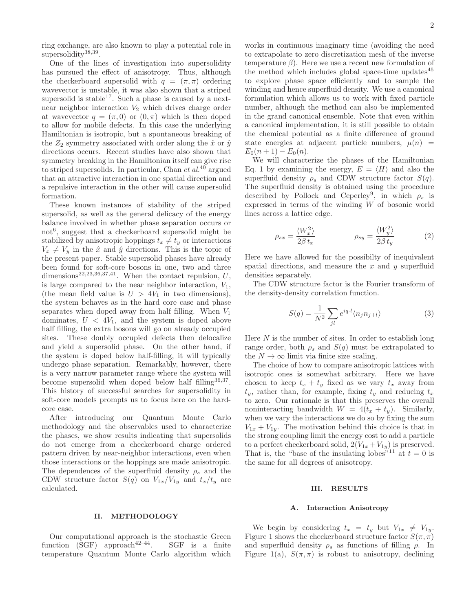2

ring exchange, are also known to play a potential role in supersolidity<sup>38,39</sup>.

One of the lines of investigation into supersolidity has pursued the effect of anisotropy. Thus, although the checkerboard supersolid with  $q = (\pi, \pi)$  ordering wavevector is unstable, it was also shown that a striped supersolid is stable<sup>17</sup>. Such a phase is caused by a nextnear neighbor interaction  $V_2$  which drives charge order at wavevector  $q = (\pi, 0)$  or  $(0, \pi)$  which is then doped to allow for mobile defects. In this case the underlying Hamiltonian is isotropic, but a spontaneous breaking of the  $Z_2$  symmetry associated with order along the  $\hat{x}$  or  $\hat{y}$ directions occurs. Recent studies have also shown that symmetry breaking in the Hamiltonian itself can give rise to striped supersolids. In particular, Chan et  $al^{40}$  argued that an attractive interaction in one spatial direction and a repulsive interaction in the other will cause supersolid formation.

These known instances of stability of the striped supersolid, as well as the general delicacy of the energy balance involved in whether phase separation occurs or not<sup>6</sup> , suggest that a checkerboard supersolid might be stabilized by anisotropic hoppings  $t_x \neq t_y$  or interactions  $V_x \neq V_y$  in the  $\hat{x}$  and  $\hat{y}$  directions. This is the topic of the present paper. Stable supersolid phases have already been found for soft-core bosons in one, two and three dimensions<sup>22,23,36,37,41</sup>. When the contact repulsion,  $U$ , is large compared to the near neighbor interaction,  $V_1$ , (the mean field value is  $U > 4V_1$  in two dimensions), the system behaves as in the hard core case and phase separates when doped away from half filling. When  $V_1$ dominates,  $U < 4V_1$ , and the system is doped above half filling, the extra bosons will go on already occupied sites. These doubly occupied defects then delocalize and yield a supersolid phase. On the other hand, if the system is doped below half-filling, it will typically undergo phase separation. Remarkably, however, there is a very narrow parameter range where the system will become supersolid when doped below half filling<sup>36,37</sup>. This history of successful searches for supersolidity in soft-core models prompts us to focus here on the hardcore case.

After introducing our Quantum Monte Carlo methodology and the observables used to characterize the phases, we show results indicating that supersolids do not emerge from a checkerboard charge ordered pattern driven by near-neighbor interactions, even when those interactions or the hoppings are made anisotropic. The dependences of the superfluid density  $\rho_s$  and the CDW structure factor  $S(q)$  on  $V_{1x}/V_{1y}$  and  $t_x/t_y$  are calculated.

#### II. METHODOLOGY

Our computational approach is the stochastic Green function (SGF) approach<sup>42–44</sup>. SGF is a finite temperature Quantum Monte Carlo algorithm which

works in continuous imaginary time (avoiding the need to extrapolate to zero discretization mesh of the inverse temperature  $\beta$ ). Here we use a recent new formulation of the method which includes global space-time updates $45$ to explore phase space efficiently and to sample the winding and hence superfluid density. We use a canonical formulation which allows us to work with fixed particle number, although the method can also be implemented in the grand canonical ensemble. Note that even within a canonical implementation, it is still possible to obtain the chemical potential as a finite difference of ground state energies at adjacent particle numbers,  $\mu(n)$  =  $E_0(n+1) - E_0(n)$ .

We will characterize the phases of the Hamiltonian Eq. 1 by examining the energy,  $E = \langle H \rangle$  and also the superfluid density  $\rho_s$  and CDW structure factor  $S(q)$ . The superfluid density is obtained using the procedure described by Pollock and Ceperley<sup>9</sup>, in which  $\rho_s$  is expressed in terms of the winding W of bosonic world lines across a lattice edge.

$$
\rho_{sx} = \frac{\langle W_x^2 \rangle}{2\beta t_x} \qquad \qquad \rho_{sy} = \frac{\langle W_y^2 \rangle}{2\beta t_y} \tag{2}
$$

Here we have allowed for the possibilty of inequivalent spatial directions, and measure the  $x$  and  $y$  superfluid densities separately.

The CDW structure factor is the Fourier transform of the density-density correlation function.

$$
S(q) = \frac{1}{N^2} \sum_{jl} e^{iq \cdot l} \langle n_j n_{j+l} \rangle \tag{3}
$$

Here  $N$  is the number of sites. In order to establish long range order, both  $\rho_s$  and  $S(q)$  must be extrapolated to the  $N \to \infty$  limit via finite size scaling.

The choice of how to compare anisotropic lattices with isotropic ones is somewhat arbitrary. Here we have chosen to keep  $t_x + t_y$  fixed as we vary  $t_x$  away from  $t_y$ , rather than, for example, fixing  $t_y$  and reducing  $t_x$ to zero. Our rationale is that this preserves the overall noninteracting bandwidth  $W = 4(t_x + t_y)$ . Similarly, when we vary the interactions we do so by fixing the sum  $V_{1x} + V_{1y}$ . The motivation behind this choice is that in the strong coupling limit the energy cost to add a particle to a perfect checkerboard solid,  $2(V_{1x} + V_{1y})$  is preserved. That is, the "base of the insulating lobes"<sup>11</sup> at  $t = 0$  is the same for all degrees of anisotropy.

#### III. RESULTS

#### A. Interaction Anisotropy

We begin by considering  $t_x = t_y$  but  $V_{1x} \neq V_{1y}$ . Figure 1 shows the checkerboard structure factor  $S(\pi, \pi)$ and superfluid density  $\rho_s$  as functions of filling  $\rho$ . In Figure 1(a),  $S(\pi, \pi)$  is robust to anisotropy, declining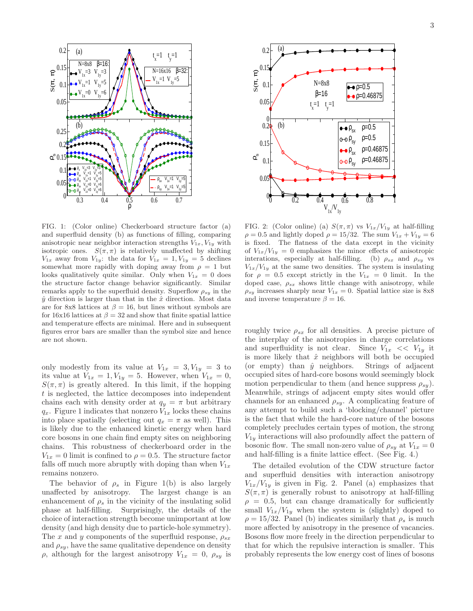

FIG. 1: (Color online) Checkerboard structure factor (a) and superfluid density (b) as functions of filling, comparing anisotropic near neighbor interaction strengths  $V_{1x}$ ,  $V_{1y}$  with isotropic ones.  $S(\pi, \pi)$  is relatively unaffected by shifting  $V_{1x}$  away from  $V_{1y}$ : the data for  $V_{1x} = 1, V_{1y} = 5$  declines somewhat more rapidly with doping away from  $\rho = 1$  but looks qualitatively quite similar. Only when  $V_{1x} = 0$  does the structure factor change behavior significantly. Similar remarks apply to the superfluid density. Superflow  $\rho_{su}$  in the  $\hat{y}$  direction is larger than that in the  $\hat{x}$  direction. Most data are for 8x8 lattices at  $\beta = 16$ , but lines without symbols are for 16x16 lattices at  $\beta = 32$  and show that finite spatial lattice and temperature effects are minimal. Here and in subsequent figures error bars are smaller than the symbol size and hence are not shown.

only modestly from its value at  $V_{1x} = 3, V_{1y} = 3$  to its value at  $V_{1x} = 1, V_{1y} = 5$ . However, when  $V_{1x} = 0$ ,  $S(\pi, \pi)$  is greatly altered. In this limit, if the hopping t is neglected, the lattice decomposes into independent chains each with density order at  $q_y = \pi$  but arbitrary  $q_x$ . Figure 1 indicates that nonzero  $V_{1x}$  locks these chains into place spatially (selecting out  $q_x = \pi$  as well). This is likely due to the enhanced kinetic energy when hard core bosons in one chain find empty sites on neighboring chains. This robustness of checkerboard order in the  $V_{1x} = 0$  limit is confined to  $\rho = 0.5$ . The structure factor falls off much more abruptly with doping than when  $V_{1x}$ remains nonzero.

The behavior of  $\rho_s$  in Figure 1(b) is also largely unaffected by anisotropy. The largest change is an enhancement of  $\rho_s$  in the vicinity of the insulating solid phase at half-filling. Surprisingly, the details of the choice of interaction strength become unimportant at low density (and high density due to particle-hole symmetry). The x and y components of the superfluid response,  $\rho_{sx}$ and  $\rho_{sy}$ , have the same qualitative dependence on density  $\rho$ , although for the largest anisotropy  $V_{1x} = 0$ ,  $\rho_{sy}$  is



FIG. 2: (Color online) (a)  $S(\pi, \pi)$  vs  $V_{1x}/V_{1y}$  at half-filling  $\rho = 0.5$  and lightly doped  $\rho = 15/32$ . The sum  $V_{1x} + V_{1y} = 6$ is fixed. The flatness of the data except in the vicinity of  $V_{1x}/V_{1y} = 0$  emphasizes the minor effects of anisotropic interations, especially at half-filling. (b)  $\rho_{sx}$  and  $\rho_{sy}$  vs  $V_{1x}/V_{1y}$  at the same two densities. The system is insulating for  $\rho = 0.5$  except strictly in the  $V_{1x} = 0$  limit. In the doped case,  $\rho_{sx}$  shows little change with anisotropy, while  $\rho_{sy}$  increases sharply near  $V_{1x} = 0$ . Spatial lattice size is 8x8 and inverse temperature  $\beta = 16$ .

roughly twice  $\rho_{sx}$  for all densities. A precise picture of the interplay of the anisotropies in charge correlations and superfluidity is not clear. Since  $V_{1x} \ll V_{1y}$  it is more likely that  $\hat{x}$  neighbors will both be occupied (or empty) than  $\hat{y}$  neighbors. Strings of adjacent occupied sites of hard-core bosons would seemingly block motion perpendicular to them (and hence suppress  $\rho_{su}$ ). Meanwhile, strings of adjacent empty sites would offer channels for an enhanced  $\rho_{sy}$ . A complicating feature of any attempt to build such a 'blocking/channel' picture is the fact that while the hard-core nature of the bosons completely precludes certain types of motion, the strong  $V_{1y}$  interactions will also profoundly affect the pattern of bosonic flow. The small non-zero value of  $\rho_{sy}$  at  $V_{1x} = 0$ and half-filling is a finite lattice effect. (See Fig. 4.)

The detailed evolution of the CDW structure factor and superfluid densities with interaction anisotropy  $V_{1x}/V_{1y}$  is given in Fig. 2. Panel (a) emphasizes that  $S(\pi, \pi)$  is generally robust to anisotropy at half-filling  $\rho = 0.5$ , but can change dramatically for sufficiently small  $V_{1x}/V_{1y}$  when the system is (slightly) doped to  $\rho = 15/32$ . Panel (b) indicates similarly that  $\rho_s$  is much more affected by anisotropy in the presence of vacancies. Bosons flow more freely in the direction perpendicular to that for which the repulsive interaction is smaller. This probably represents the low energy cost of lines of bosons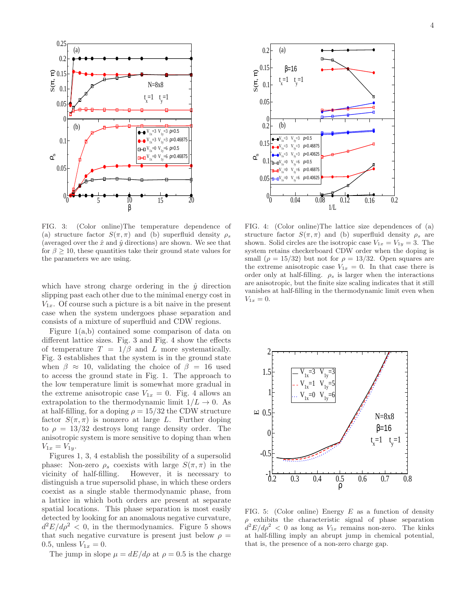

FIG. 3: (Color online)The temperature dependence of (a) structure factor  $S(\pi, \pi)$  and (b) superfluid density  $\rho_s$ (averaged over the  $\hat{x}$  and  $\hat{y}$  directions) are shown. We see that for  $\beta \geq 10$ , these quantities take their ground state values for the parameters we are using.

which have strong charge ordering in the  $\hat{y}$  direction slipping past each other due to the minimal energy cost in  $V_{1x}$ . Of course such a picture is a bit naive in the present case when the system undergoes phase separation and consists of a mixture of superfluid and CDW regions.

Figure 1(a,b) contained some comparison of data on different lattice sizes. Fig. 3 and Fig. 4 show the effects of temperature  $T = 1/\beta$  and L more systematically. Fig. 3 establishes that the system is in the ground state when  $\beta \approx 10$ , validating the choice of  $\beta = 16$  used to access the ground state in Fig. 1. The approach to the low temperature limit is somewhat more gradual in the extreme anisotropic case  $V_{1x} = 0$ . Fig. 4 allows an extrapolation to the thermodynamic limit  $1/L \rightarrow 0$ . As at half-filling, for a doping  $\rho = 15/32$  the CDW structure factor  $S(\pi, \pi)$  is nonzero at large L. Further doping to  $\rho = 13/32$  destroys long range density order. The anisotropic system is more sensitive to doping than when  $V_{1x} = V_{1y}$ .

Figures 1, 3, 4 establish the possibility of a supersolid phase: Non-zero  $\rho_s$  coexists with large  $S(\pi, \pi)$  in the vicinity of half-filling. However, it is necessary to distinguish a true supersolid phase, in which these orders coexist as a single stable thermodynamic phase, from a lattice in which both orders are present at separate spatial locations. This phase separation is most easily detected by looking for an anomalous negative curvature,  $d^2E/d\rho^2 < 0$ , in the thermodynamics. Figure 5 shows that such negative curvature is present just below  $\rho =$ 0.5, unless  $V_{1x} = 0$ .

The jump in slope  $\mu = dE/d\rho$  at  $\rho = 0.5$  is the charge



FIG. 4: (Color online)The lattice size dependences of (a) structure factor  $S(\pi, \pi)$  and (b) superfluid density  $\rho_s$  are shown. Solid circles are the isotropic case  $V_{1x} = V_{1y} = 3$ . The system retains checkerboard CDW order when the doping is small ( $\rho = 15/32$ ) but not for  $\rho = 13/32$ . Open squares are the extreme anisotropic case  $V_{1x} = 0$ . In that case there is order only at half-filling.  $\rho_s$  is larger when the interactions are anisotropic, but the finite size scaling indicates that it still vanishes at half-filling in the thermodynamic limit even when  $V_{1x} = 0.$ 



FIG. 5: (Color online) Energy  $E$  as a function of density  $\rho$  exhibits the characteristic signal of phase separation  $\frac{d^2E}{d\rho^2}$  < 0 as long as  $V_{1x}$  remains non-zero. The kinks at half-filling imply an abrupt jump in chemical potential, that is, the presence of a non-zero charge gap.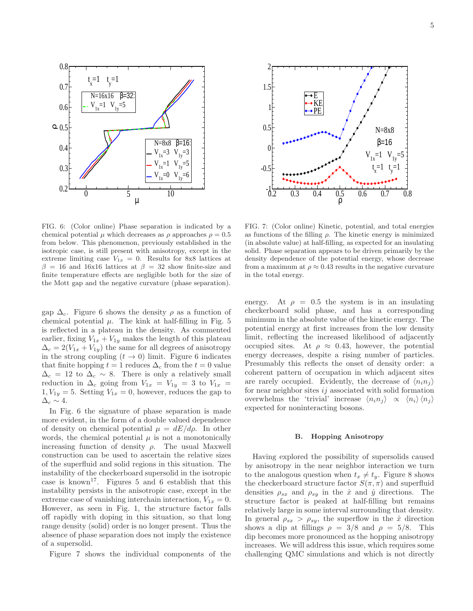



FIG. 6: (Color online) Phase separation is indicated by a chemical potential  $\mu$  which decreases as  $\rho$  approaches  $\rho = 0.5$ from below. This phenomenon, previously established in the isotropic case, is still present with anisotropy, except in the extreme limiting case  $V_{1x} = 0$ . Results for 8x8 lattices at  $β = 16$  and 16x16 lattices at  $β = 32$  show finite-size and finite temperature effects are negligible both for the size of the Mott gap and the negative curvature (phase separation).

gap  $\Delta_c$ . Figure 6 shows the density  $\rho$  as a function of chemical potential  $\mu$ . The kink at half-filling in Fig. 5 is reflected in a plateau in the density. As commented earlier, fixing  $V_{1x} + V_{1y}$  makes the length of this plateau  $\Delta_c = 2(V_{1x} + V_{1y})$  the same for all degrees of anisotropy in the strong coupling  $(t \to 0)$  limit. Figure 6 indicates that finite hopping  $t = 1$  reduces  $\Delta_c$  from the  $t = 0$  value  $\Delta_c = 12$  to  $\Delta_c \sim 8$ . There is only a relatively small reduction in  $\Delta_c$  going from  $V_{1x} = V_{1y} = 3$  to  $V_{1x} =$  $1, V_{1y} = 5$ . Setting  $V_{1x} = 0$ , however, reduces the gap to  $\Delta_c \sim 4$ .

In Fig. 6 the signature of phase separation is made more evident, in the form of a double valued dependence of density on chemical potential  $\mu = dE/d\rho$ . In other words, the chemical potential  $\mu$  is not a monotonically increasing function of density  $\rho$ . The usual Maxwell construction can be used to ascertain the relative sizes of the superfluid and solid regions in this situation. The instability of the checkerboard supersolid in the isotropic case is known<sup>17</sup>. Figures 5 and 6 establish that this instability persists in the anisotropic case, except in the extreme case of vanishing interchain interaction,  $V_{1x} = 0$ . However, as seen in Fig. 1, the structure factor falls off rapidly with doping in this situation, so that long range density (solid) order is no longer present. Thus the absence of phase separation does not imply the existence of a supersolid.

Figure 7 shows the individual components of the

FIG. 7: (Color online) Kinetic, potential, and total energies as functions of the filling  $\rho$ . The kinetic energy is minimized (in absolute value) at half-filling, as expected for an insulating solid. Phase separation appears to be driven primarily by the density dependence of the potential energy, whose decrease from a maximum at  $\rho \approx 0.43$  results in the negative curvature in the total energy.

energy. At  $\rho = 0.5$  the system is in an insulating checkerboard solid phase, and has a corresponding minimum in the absolute value of the kinetic energy. The potential energy at first increases from the low density limit, reflecting the increased likelihood of adjacently occupied sites. At  $\rho \approx 0.43$ , however, the potential energy decreases, despite a rising number of particles. Presumably this reflects the onset of density order: a coherent pattern of occupation in which adjacent sites are rarely occupied. Evidently, the decrease of  $\langle n_i n_j \rangle$ for near neighbor sites  $ij$  associated with solid formation overwhelms the 'trivial' increase  $\langle n_i n_j \rangle \propto \langle n_i \rangle \langle n_j \rangle$ expected for noninteracting bosons.

#### B. Hopping Anisotropy

Having explored the possibility of supersolids caused by anisotropy in the near neighbor interaction we turn to the analogous question when  $t_x \neq t_y$ . Figure 8 shows the checkerboard structure factor  $S(\pi, \pi)$  and superfluid densities  $\rho_{sx}$  and  $\rho_{sy}$  in the  $\hat{x}$  and  $\hat{y}$  directions. The structure factor is peaked at half-filling but remains relatively large in some interval surrounding that density. In general  $\rho_{sx} > \rho_{sy}$ , the superflow in the  $\hat{x}$  direction shows a dip at fillings  $\rho = 3/8$  and  $\rho = 5/8$ . This dip becomes more pronounced as the hopping anisotropy increases. We will address this issue, which requires some challenging QMC simulations and which is not directly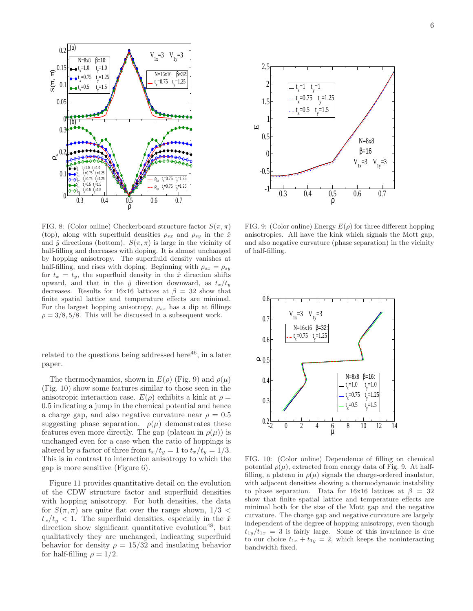

FIG. 8: (Color online) Checkerboard structure factor  $S(\pi, \pi)$ (top), along with superfluid densities  $\rho_{sx}$  and  $\rho_{sy}$  in the  $\hat{x}$ and  $\hat{y}$  directions (bottom).  $S(\pi, \pi)$  is large in the vicinity of half-filling and decreases with doping. It is almost unchanged by hopping anisotropy. The superfluid density vanishes at half-filling, and rises with doping. Beginning with  $\rho_{sx} = \rho_{sy}$ for  $t_x = t_y$ , the superfluid density in the  $\hat{x}$  direction shifts upward, and that in the  $\hat{y}$  direction downward, as  $t_x/t_y$ decreases. Results for 16x16 lattices at  $\beta = 32$  show that finite spatial lattice and temperature effects are minimal. For the largest hopping anisotropy,  $\rho_{sx}$  has a dip at fillings  $\rho = 3/8, 5/8$ . This will be discussed in a subsequent work.

related to the questions being addressed here $^{46}$ , in a later paper.

The thermodynamics, shown in  $E(\rho)$  (Fig. 9) and  $\rho(\mu)$ (Fig. 10) show some features similar to those seen in the anisotropic interaction case.  $E(\rho)$  exhibits a kink at  $\rho =$ 0.5 indicating a jump in the chemical potential and hence a charge gap, and also negative curvature near  $\rho = 0.5$ suggesting phase separation.  $\rho(\mu)$  demonstrates these features even more directly. The gap (plateau in  $\rho(\mu)$ ) is unchanged even for a case when the ratio of hoppings is altered by a factor of three from  $t_x/t_y = 1$  to  $t_x/t_y = 1/3$ . This is in contrast to interaction anisotropy to which the gap is more sensitive (Figure 6).

Figure 11 provides quantitative detail on the evolution of the CDW structure factor and superfluid densities with hopping anisotropy. For both densities, the data for  $S(\pi, \pi)$  are quite flat over the range shown,  $1/3$  <  $t_x/t_y < 1$ . The superfluid densities, especially in the  $\hat{x}$ direction show significant quantitative evolution<sup>48</sup>, but qualitatively they are unchanged, indicating superfluid behavior for density  $\rho = 15/32$  and insulating behavior for half-filling  $\rho = 1/2$ .



FIG. 9: (Color online) Energy  $E(\rho)$  for three different hopping anisotropies. All have the kink which signals the Mott gap, and also negative curvature (phase separation) in the vicinity of half-filling.



FIG. 10: (Color online) Dependence of filling on chemical potential  $\rho(\mu)$ , extracted from energy data of Fig. 9. At halffilling, a plateau in  $\rho(\mu)$  signals the charge-ordered insulator, with adjacent densities showing a thermodynamic instability to phase separation. Data for 16x16 lattices at  $\beta = 32$ show that finite spatial lattice and temperature effects are minimal both for the size of the Mott gap and the negative curvature. The charge gap and negative curvature are largely independent of the degree of hopping anisotropy, even though  $t_{1y}/t_{1x} = 3$  is fairly large. Some of this invariance is due to our choice  $t_{1x} + t_{1y} = 2$ , which keeps the noninteracting bandwidth fixed.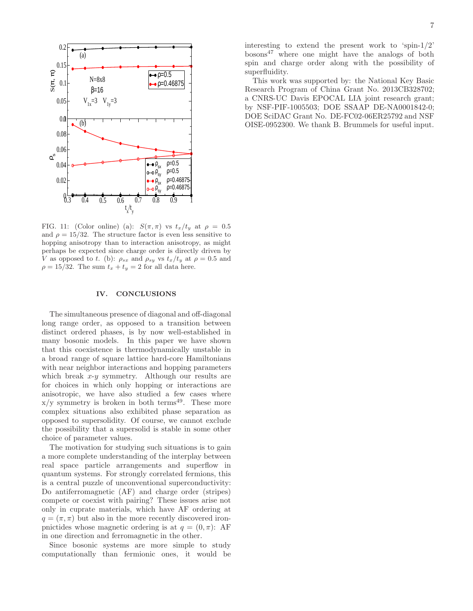

FIG. 11: (Color online) (a):  $S(\pi, \pi)$  vs  $t_x/t_y$  at  $\rho = 0.5$ and  $\rho = 15/32$ . The structure factor is even less sensitive to hopping anisotropy than to interaction anisotropy, as might perhaps be expected since charge order is directly driven by V as opposed to t. (b):  $\rho_{sx}$  and  $\rho_{sy}$  vs  $t_x/t_y$  at  $\rho = 0.5$  and  $\rho = 15/32$ . The sum  $t_x + t_y = 2$  for all data here.

#### IV. CONCLUSIONS

The simultaneous presence of diagonal and off-diagonal long range order, as opposed to a transition between distinct ordered phases, is by now well-established in many bosonic models. In this paper we have shown that this coexistence is thermodynamically unstable in a broad range of square lattice hard-core Hamiltonians with near neighbor interactions and hopping parameters which break  $x-y$  symmetry. Although our results are for choices in which only hopping or interactions are anisotropic, we have also studied a few cases where  $x/y$  symmetry is broken in both terms<sup>49</sup>. These more complex situations also exhibited phase separation as opposed to supersolidity. Of course, we cannot exclude the possibility that a supersolid is stable in some other choice of parameter values.

The motivation for studying such situations is to gain a more complete understanding of the interplay between real space particle arrangements and superflow in quantum systems. For strongly correlated fermions, this is a central puzzle of unconventional superconductivity: Do antiferromagnetic (AF) and charge order (stripes) compete or coexist with pairing? These issues arise not only in cuprate materials, which have AF ordering at  $q = (\pi, \pi)$  but also in the more recently discovered ironpnictides whose magnetic ordering is at  $q = (0, \pi)$ : AF in one direction and ferromagnetic in the other.

Since bosonic systems are more simple to study computationally than fermionic ones, it would be interesting to extend the present work to 'spin-1/2'  $bosons<sup>47</sup>$  where one might have the analogs of both spin and charge order along with the possibility of superfluidity.

This work was supported by: the National Key Basic Research Program of China Grant No. 2013CB328702; a CNRS-UC Davis EPOCAL LIA joint research grant; by NSF-PIF-1005503; DOE SSAAP DE-NA0001842-0; DOE SciDAC Grant No. DE-FC02-06ER25792 and NSF OISE-0952300. We thank B. Brummels for useful input.